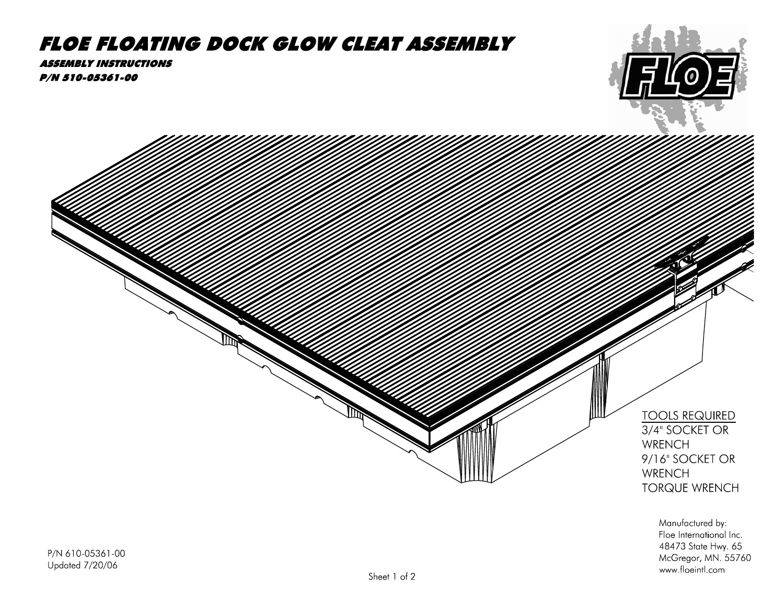## **FLOE FLOATING DOCK GLOW CLEAT ASSEMBLY**

**ASSEMBLY INSTRUCTIONS** P/N 510-05361-00



48473 State Hwy. 65

www.floeintl.com

McGregor, MN. 55760